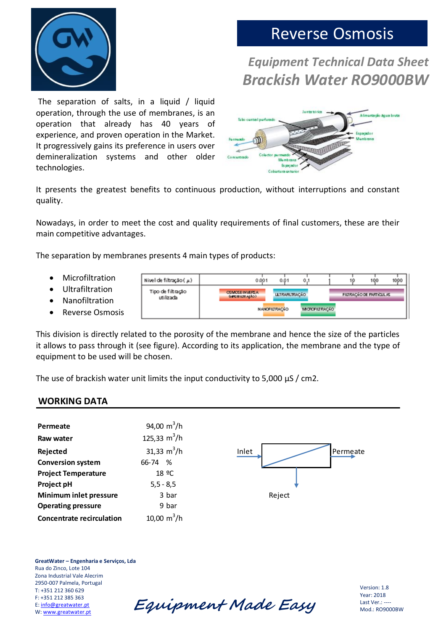

# Reverse Osmosis

## *Equipment Technical Data Sheet Brackish Water RO9000BW*

The separation of salts, in a liquid / liquid operation, through the use of membranes, is an operation that already has 40 years of experience, and proven operation in the Market. It progressively gains its preference in users over demineralization systems and other older technologies.



It presents the greatest benefits to continuous production, without interruptions and constant quality.

Nowadays, in order to meet the cost and quality requirements of final customers, these are their main competitive advantages.

The separation by membranes presents 4 main types of products:

- Microfiltration
- Ultrafiltration
- Nanofiltration
- Reverse Osmosis

1000 Nivel de filtração ( µ) 0.001  $0.01$  $0,1$ 19 100 Tipo de filtração **OSMOSE INVERSA<br>Generation Apico ULTRARLTRACEO** FILTRAÇÃO DE PARTICULAS utilizada **NANOFILI RACÃO MORDFILTRACKO** 

This division is directly related to the porosity of the membrane and hence the size of the particles it allows to pass through it (see figure). According to its application, the membrane and the type of equipment to be used will be chosen.

The use of brackish water unit limits the input conductivity to 5,000  $\mu$ S / cm2.

### **WORKING DATA**

| Permeate                         | 94,00 $m^3/h$     |                   |
|----------------------------------|-------------------|-------------------|
| Raw water                        | 125,33 $m^3/h$    |                   |
| Rejected                         | 31,33 $m^3/h$     | Permeate<br>Inlet |
| <b>Conversion system</b>         | 66-74 %           |                   |
| <b>Project Temperature</b>       | 18 <sup>o</sup> C |                   |
| Project pH                       | $5, 5 - 8, 5$     |                   |
| Minimum inlet pressure           | 3 bar             | Reject            |
| <b>Operating pressure</b>        | 9 bar             |                   |
| <b>Concentrate recirculation</b> | 10,00 $m^3/h$     |                   |
|                                  |                   |                   |

**GreatWater – Engenharia e Serviços, Lda** Rua do Zinco, Lote 104 Zona Industrial Vale Alecrim 2950-007 Palmela, Portugal T: +351 212 360 629 F: +351 212 385 363 E[: info@greatwater.pt](mailto:info@greatwater.pt)

El HSSI 212 385 363<br>E: <u>info@greatwater.pt</u> **Equipment Made Easy** 

Version: 1.8 Year: 2018 Last Ver.: ---- Mod.: RO9000BW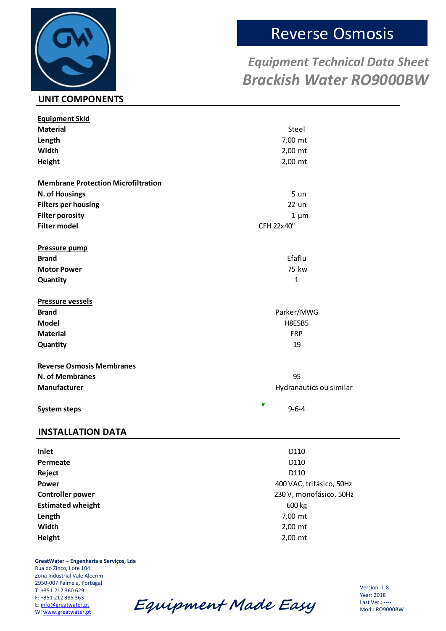# **UNIT COMPONENTS**

# Reverse Osmosis

## *Equipment Technical Data Sheet Brackish Water RO9000BW*

| <b>Equipment Skid</b>                      |                          |
|--------------------------------------------|--------------------------|
| <b>Material</b>                            | Steel                    |
| Length                                     | 7,00 mt                  |
| Width                                      | 2,00 mt                  |
| Height                                     | 2,00 mt                  |
|                                            |                          |
| <b>Membrane Protection Microfiltration</b> |                          |
| N. of Housings                             | 5 <sub>un</sub>          |
| <b>Filters per housing</b>                 | 22 un                    |
| <b>Filter porosity</b>                     | $1 \mu m$                |
| <b>Filter model</b>                        | CFH 22x40"               |
|                                            |                          |
| Pressure pump                              |                          |
| <b>Brand</b>                               | Efaflu                   |
| <b>Motor Power</b>                         | 75 kw                    |
| Quantity                                   | $\mathbf{1}$             |
| <b>Pressure vessels</b>                    |                          |
| <b>Brand</b>                               | Parker/MWG               |
| <b>Model</b>                               | <b>H8E5B5</b>            |
| <b>Material</b>                            | <b>FRP</b>               |
| Quantity                                   | 19                       |
|                                            |                          |
| <b>Reverse Osmosis Membranes</b>           |                          |
| N. of Membranes                            | 95                       |
| <b>Manufacturer</b>                        | Hydranautics ou similar  |
|                                            | r<br>$9 - 6 - 4$         |
| <b>System steps</b>                        |                          |
| <b>INSTALLATION DATA</b>                   |                          |
|                                            | D110                     |
| Inlet                                      |                          |
| Permeate                                   | D110                     |
| Reject<br><b>Power</b>                     | D110                     |
|                                            | 400 VAC, trifásico, 50Hz |
| <b>Controller power</b>                    | 230 V, monofásico, 50Hz  |
| <b>Estimated wheight</b>                   | 600 kg                   |

**Length** 7,00 mt **Width** 2,00 mt **Height** 2,00 mt

**GreatWater – Engenharia e Serviços, Lda** Rua do Zinco, Lote 104 Zona Industrial Vale Alecrim 2950-007 Palmela, Portugal T: +351 212 360 629 F: +351 212 385 363 E[: info@greatwater.pt](mailto:info@greatwater.pt)<br>W: www.greatwater.pt

Equipment Made Easy

Version: 1.8 Year: 2018 Last Ver.: ---- Mod.: RO9000BW